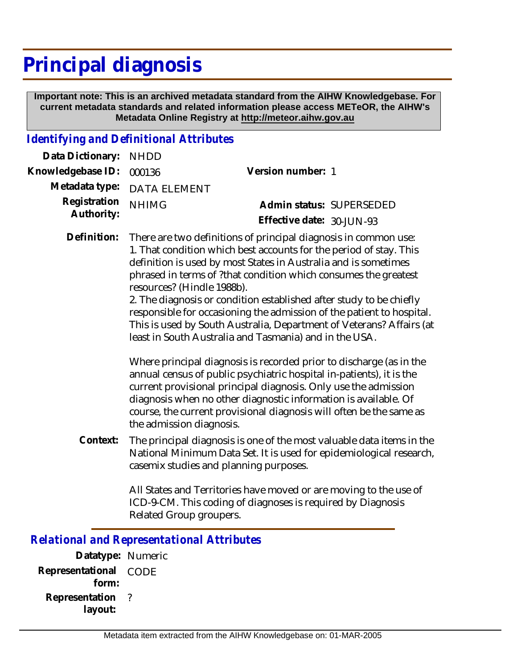# **Principal diagnosis**

 **Important note: This is an archived metadata standard from the AIHW Knowledgebase. For current metadata standards and related information please access METeOR, the AIHW's Metadata Online Registry at http://meteor.aihw.gov.au**

# *Identifying and Definitional Attributes*

| Data Dictionary: NHDD            |                             |                           |  |
|----------------------------------|-----------------------------|---------------------------|--|
| Knowledgebase ID: 000136         |                             | Version number: 1         |  |
|                                  | Metadata type: DATA ELEMENT |                           |  |
| Registration NHIMG<br>Authority: |                             | Admin status: SUPERSEDED  |  |
|                                  |                             | Effective date: 30-JUN-93 |  |
|                                  |                             |                           |  |

There are two definitions of principal diagnosis in common use: 1. That condition which best accounts for the period of stay. This definition is used by most States in Australia and is sometimes phrased in terms of ?that condition which consumes the greatest resources? (Hindle 1988b). **Definition:**

> 2. The diagnosis or condition established after study to be chiefly responsible for occasioning the admission of the patient to hospital. This is used by South Australia, Department of Veterans? Affairs (at least in South Australia and Tasmania) and in the USA.

Where principal diagnosis is recorded prior to discharge (as in the annual census of public psychiatric hospital in-patients), it is the current provisional principal diagnosis. Only use the admission diagnosis when no other diagnostic information is available. Of course, the current provisional diagnosis will often be the same as the admission diagnosis.

The principal diagnosis is one of the most valuable data items in the National Minimum Data Set. It is used for epidemiological research, casemix studies and planning purposes. **Context:**

> All States and Territories have moved or are moving to the use of ICD-9-CM. This coding of diagnoses is required by Diagnosis Related Group groupers.

*Relational and Representational Attributes*

**Datatype:** Numeric **Representational** CODE  **form: Representation** ?  **layout:**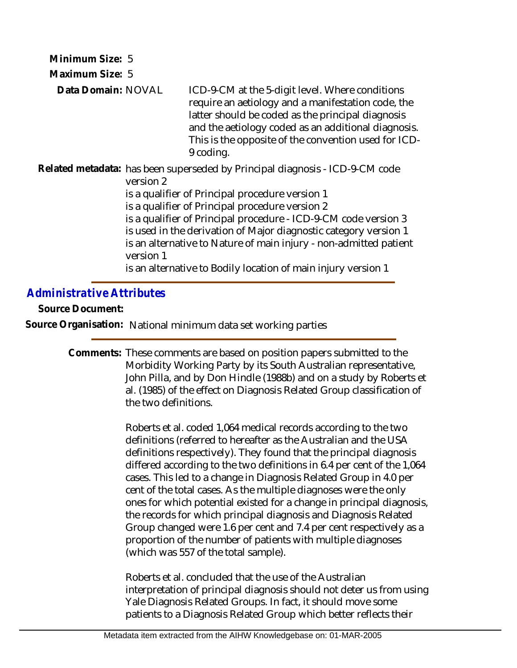**Minimum Size:** 5 **Maximum Size:** 5 ICD-9-CM at the 5-digit level. Where conditions require an aetiology and a manifestation code, the latter should be coded as the principal diagnosis and the aetiology coded as an additional diagnosis. This is the opposite of the convention used for ICD-9 coding. Related metadata: has been superseded by Principal diagnosis - ICD-9-CM code version 2 is a qualifier of Principal procedure version 1 is a qualifier of Principal procedure version 2 is a qualifier of Principal procedure - ICD-9-CM code version 3 is used in the derivation of Major diagnostic category version 1 is an alternative to Nature of main injury - non-admitted patient version 1 **Data Domain:**

is an alternative to Bodily location of main injury version 1

# *Administrative Attributes*

**Source Document:**

**Source Organisation:** National minimum data set working parties

Comments: These comments are based on position papers submitted to the Morbidity Working Party by its South Australian representative, John Pilla, and by Don Hindle (1988b) and on a study by Roberts et al. (1985) of the effect on Diagnosis Related Group classification of the two definitions.

> Roberts et al. coded 1,064 medical records according to the two definitions (referred to hereafter as the Australian and the USA definitions respectively). They found that the principal diagnosis differed according to the two definitions in 6.4 per cent of the 1,064 cases. This led to a change in Diagnosis Related Group in 4.0 per cent of the total cases. As the multiple diagnoses were the only ones for which potential existed for a change in principal diagnosis, the records for which principal diagnosis and Diagnosis Related Group changed were 1.6 per cent and 7.4 per cent respectively as a proportion of the number of patients with multiple diagnoses (which was 557 of the total sample).

> Roberts et al. concluded that the use of the Australian interpretation of principal diagnosis should not deter us from using Yale Diagnosis Related Groups. In fact, it should move some patients to a Diagnosis Related Group which better reflects their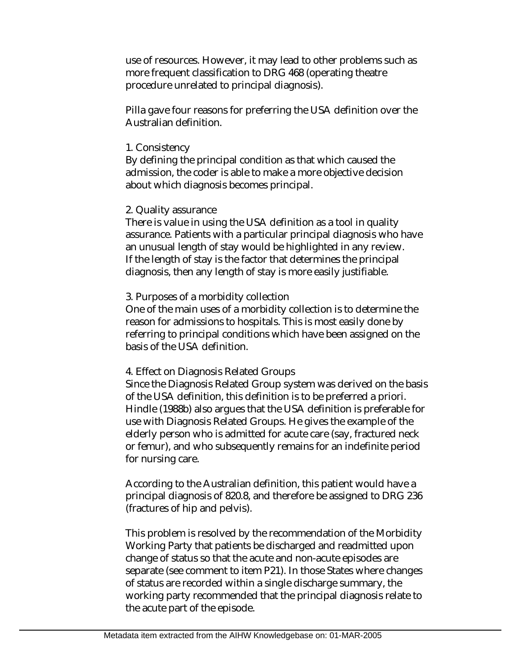use of resources. However, it may lead to other problems such as more frequent classification to DRG 468 (operating theatre procedure unrelated to principal diagnosis).

Pilla gave four reasons for preferring the USA definition over the Australian definition.

#### 1. Consistency

By defining the principal condition as that which caused the admission, the coder is able to make a more objective decision about which diagnosis becomes principal.

## 2. Quality assurance

There is value in using the USA definition as a tool in quality assurance. Patients with a particular principal diagnosis who have an unusual length of stay would be highlighted in any review. If the length of stay is the factor that determines the principal diagnosis, then any length of stay is more easily justifiable.

## 3. Purposes of a morbidity collection

One of the main uses of a morbidity collection is to determine the reason for admissions to hospitals. This is most easily done by referring to principal conditions which have been assigned on the basis of the USA definition.

## 4. Effect on Diagnosis Related Groups

Since the Diagnosis Related Group system was derived on the basis of the USA definition, this definition is to be preferred a priori. Hindle (1988b) also argues that the USA definition is preferable for use with Diagnosis Related Groups. He gives the example of the elderly person who is admitted for acute care (say, fractured neck or femur), and who subsequently remains for an indefinite period for nursing care.

According to the Australian definition, this patient would have a principal diagnosis of 820.8, and therefore be assigned to DRG 236 (fractures of hip and pelvis).

This problem is resolved by the recommendation of the Morbidity Working Party that patients be discharged and readmitted upon change of status so that the acute and non-acute episodes are separate (see comment to item P21). In those States where changes of status are recorded within a single discharge summary, the working party recommended that the principal diagnosis relate to the acute part of the episode.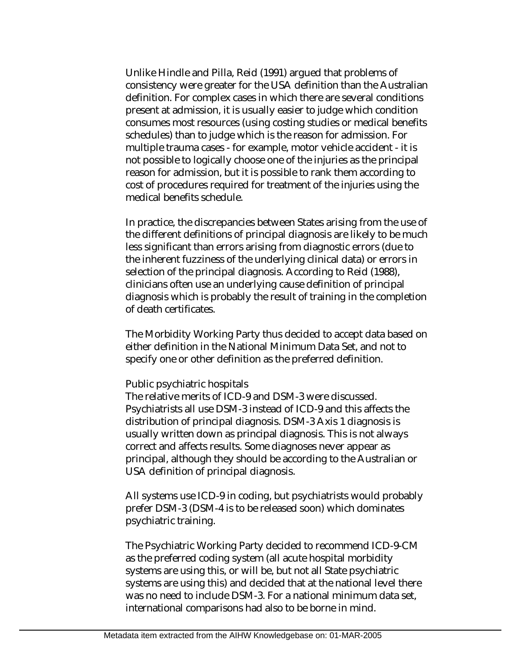Unlike Hindle and Pilla, Reid (1991) argued that problems of consistency were greater for the USA definition than the Australian definition. For complex cases in which there are several conditions present at admission, it is usually easier to judge which condition consumes most resources (using costing studies or medical benefits schedules) than to judge which is the reason for admission. For multiple trauma cases - for example, motor vehicle accident - it is not possible to logically choose one of the injuries as the principal reason for admission, but it is possible to rank them according to cost of procedures required for treatment of the injuries using the medical benefits schedule.

In practice, the discrepancies between States arising from the use of the different definitions of principal diagnosis are likely to be much less significant than errors arising from diagnostic errors (due to the inherent fuzziness of the underlying clinical data) or errors in selection of the principal diagnosis. According to Reid (1988), clinicians often use an underlying cause definition of principal diagnosis which is probably the result of training in the completion of death certificates.

The Morbidity Working Party thus decided to accept data based on either definition in the National Minimum Data Set, and not to specify one or other definition as the preferred definition.

#### Public psychiatric hospitals

The relative merits of ICD-9 and DSM-3 were discussed. Psychiatrists all use DSM-3 instead of ICD-9 and this affects the distribution of principal diagnosis. DSM-3 Axis 1 diagnosis is usually written down as principal diagnosis. This is not always correct and affects results. Some diagnoses never appear as principal, although they should be according to the Australian or USA definition of principal diagnosis.

All systems use ICD-9 in coding, but psychiatrists would probably prefer DSM-3 (DSM-4 is to be released soon) which dominates psychiatric training.

The Psychiatric Working Party decided to recommend ICD-9-CM as the preferred coding system (all acute hospital morbidity systems are using this, or will be, but not all State psychiatric systems are using this) and decided that at the national level there was no need to include DSM-3. For a national minimum data set, international comparisons had also to be borne in mind.